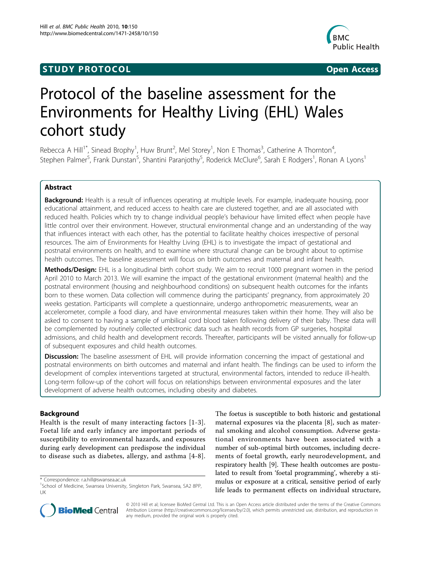# **STUDY PROTOCOL CONSUMING ACCESS**



# Protocol of the baseline assessment for the Environments for Healthy Living (EHL) Wales cohort study

Rebecca A Hill<sup>1\*</sup>, Sinead Brophy<sup>1</sup>, Huw Brunt<sup>2</sup>, Mel Storey<sup>1</sup>, Non E Thomas<sup>3</sup>, Catherine A Thornton<sup>4</sup> , Stephen Palmer<sup>5</sup>, Frank Dunstan<sup>5</sup>, Shantini Paranjothy<sup>5</sup>, Roderick McClure<sup>6</sup>, Sarah E Rodgers<sup>1</sup>, Ronan A Lyons<sup>1</sup>

# Abstract

**Background:** Health is a result of influences operating at multiple levels. For example, inadequate housing, poor educational attainment, and reduced access to health care are clustered together, and are all associated with reduced health. Policies which try to change individual people's behaviour have limited effect when people have little control over their environment. However, structural environmental change and an understanding of the way that influences interact with each other, has the potential to facilitate healthy choices irrespective of personal resources. The aim of Environments for Healthy Living (EHL) is to investigate the impact of gestational and postnatal environments on health, and to examine where structural change can be brought about to optimise health outcomes. The baseline assessment will focus on birth outcomes and maternal and infant health.

Methods/Design: EHL is a longitudinal birth cohort study. We aim to recruit 1000 pregnant women in the period April 2010 to March 2013. We will examine the impact of the gestational environment (maternal health) and the postnatal environment (housing and neighbourhood conditions) on subsequent health outcomes for the infants born to these women. Data collection will commence during the participants' pregnancy, from approximately 20 weeks gestation. Participants will complete a questionnaire, undergo anthropometric measurements, wear an accelerometer, compile a food diary, and have environmental measures taken within their home. They will also be asked to consent to having a sample of umbilical cord blood taken following delivery of their baby. These data will be complemented by routinely collected electronic data such as health records from GP surgeries, hospital admissions, and child health and development records. Thereafter, participants will be visited annually for follow-up of subsequent exposures and child health outcomes.

**Discussion:** The baseline assessment of EHL will provide information concerning the impact of gestational and postnatal environments on birth outcomes and maternal and infant health. The findings can be used to inform the development of complex interventions targeted at structural, environmental factors, intended to reduce ill-health. Long-term follow-up of the cohort will focus on relationships between environmental exposures and the later development of adverse health outcomes, including obesity and diabetes.

# Background

Health is the result of many interacting factors [[1-3\]](#page-6-0). Foetal life and early infancy are important periods of susceptibility to environmental hazards, and exposures during early development can predispose the individual to disease such as diabetes, allergy, and asthma [[4-8\]](#page-6-0).

The foetus is susceptible to both historic and gestational maternal exposures via the placenta [[8\]](#page-6-0), such as maternal smoking and alcohol consumption. Adverse gestational environments have been associated with a number of sub-optimal birth outcomes, including decrements of foetal growth, early neurodevelopment, and respiratory health [[9\]](#page-6-0). These health outcomes are postulated to result from 'foetal programming', whereby a stimulus or exposure at a critical, sensitive period of early life leads to permanent effects on individual structure,



© 2010 Hill et al; licensee BioMed Central Ltd. This is an Open Access article distributed under the terms of the Creative Commons Attribution License [\(http://creativecommons.org/licenses/by/2.0](http://creativecommons.org/licenses/by/2.0)), which permits unrestricted use, distribution, and reproduction in any medium, provided the original work is properly cited.

<sup>\*</sup> Correspondence: [r.a.hill@swansea.ac.uk](mailto:r.a.hill@swansea.ac.uk)

<sup>&</sup>lt;sup>1</sup>School of Medicine, Swansea University, Singleton Park, Swansea, SA2 8PP, UK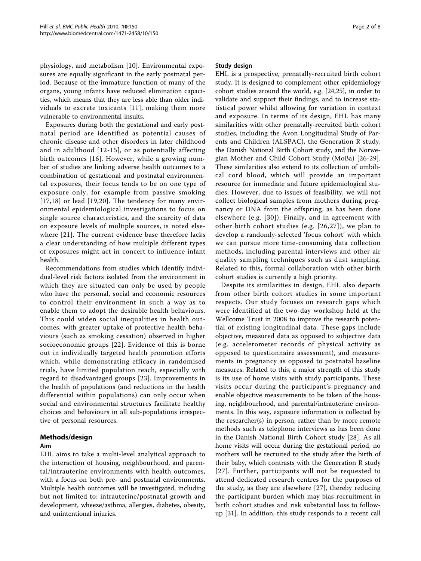physiology, and metabolism [[10\]](#page-6-0). Environmental exposures are equally significant in the early postnatal period. Because of the immature function of many of the organs, young infants have reduced elimination capacities, which means that they are less able than older individuals to excrete toxicants [[11\]](#page-6-0), making them more vulnerable to environmental insults.

Exposures during both the gestational and early postnatal period are identified as potential causes of chronic disease and other disorders in later childhood and in adulthood [[12-15](#page-6-0)], or as potentially affecting birth outcomes [[16](#page-6-0)]. However, while a growing number of studies are linking adverse health outcomes to a combination of gestational and postnatal environmental exposures, their focus tends to be on one type of exposure only, for example from passive smoking [[17](#page-6-0),[18](#page-6-0)] or lead [\[19,20](#page-6-0)]. The tendency for many environmental epidemiological investigations to focus on single source characteristics, and the scarcity of data on exposure levels of multiple sources, is noted elsewhere [\[21\]](#page-6-0). The current evidence base therefore lacks a clear understanding of how multiple different types of exposures might act in concert to influence infant health.

Recommendations from studies which identify individual-level risk factors isolated from the environment in which they are situated can only be used by people who have the personal, social and economic resources to control their environment in such a way as to enable them to adopt the desirable health behaviours. This could widen social inequalities in health outcomes, with greater uptake of protective health behaviours (such as smoking cessation) observed in higher socioeconomic groups [[22](#page-6-0)]. Evidence of this is borne out in individually targeted health promotion efforts which, while demonstrating efficacy in randomised trials, have limited population reach, especially with regard to disadvantaged groups [\[23](#page-6-0)]. Improvements in the health of populations (and reductions in the health differential within populations) can only occur when social and environmental structures facilitate healthy choices and behaviours in all sub-populations irrespective of personal resources.

# Methods/design

# Aim

EHL aims to take a multi-level analytical approach to the interaction of housing, neighbourhood, and parental/intrauterine environments with health outcomes, with a focus on both pre- and postnatal environments. Multiple health outcomes will be investigated, including but not limited to: intrauterine/postnatal growth and development, wheeze/asthma, allergies, diabetes, obesity, and unintentional injuries.

# Study design

EHL is a prospective, prenatally-recruited birth cohort study. It is designed to complement other epidemiology cohort studies around the world, e.g. [\[24,25](#page-6-0)], in order to validate and support their findings, and to increase statistical power whilst allowing for variation in context and exposure. In terms of its design, EHL has many similarities with other prenatally-recruited birth cohort studies, including the Avon Longitudinal Study of Parents and Children (ALSPAC), the Generation R study, the Danish National Birth Cohort study, and the Norwegian Mother and Child Cohort Study (MoBa) [[26](#page-6-0)-[29](#page-6-0)]. These similarities also extend to its collection of umbilical cord blood, which will provide an important resource for immediate and future epidemiological studies. However, due to issues of feasibility, we will not collect biological samples from mothers during pregnancy or DNA from the offspring, as has been done elsewhere (e.g. [\[30](#page-6-0)]). Finally, and in agreement with other birth cohort studies (e.g. [[26,27](#page-6-0)]), we plan to develop a randomly-selected 'focus cohort' with which we can pursue more time-consuming data collection methods, including parental interviews and other air quality sampling techniques such as dust sampling. Related to this, formal collaboration with other birth cohort studies is currently a high priority.

Despite its similarities in design, EHL also departs from other birth cohort studies in some important respects. Our study focuses on research gaps which were identified at the two-day workshop held at the Wellcome Trust in 2008 to improve the research potential of existing longitudinal data. These gaps include objective, measured data as opposed to subjective data (e.g. accelerometer records of physical activity as opposed to questionnaire assessment), and measurements in pregnancy as opposed to postnatal baseline measures. Related to this, a major strength of this study is its use of home visits with study participants. These visits occur during the participant's pregnancy and enable objective measurements to be taken of the housing, neighbourhood, and parental/intrauterine environments. In this way, exposure information is collected by the researcher(s) in person, rather than by more remote methods such as telephone interviews as has been done in the Danish National Birth Cohort study [[28\]](#page-6-0). As all home visits will occur during the gestational period, no mothers will be recruited to the study after the birth of their baby, which contrasts with the Generation R study [[27](#page-6-0)]. Further, participants will not be requested to attend dedicated research centres for the purposes of the study, as they are elsewhere [[27\]](#page-6-0), thereby reducing the participant burden which may bias recruitment in birth cohort studies and risk substantial loss to followup [[31\]](#page-6-0). In addition, this study responds to a recent call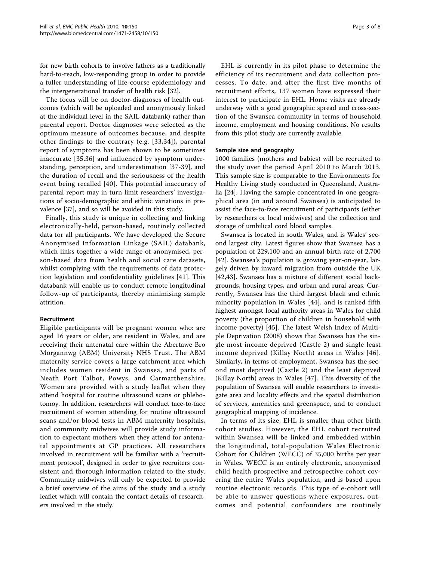for new birth cohorts to involve fathers as a traditionally hard-to-reach, low-responding group in order to provide a fuller understanding of life-course epidemiology and the intergenerational transfer of health risk [\[32](#page-6-0)].

The focus will be on doctor-diagnoses of health outcomes (which will be uploaded and anonymously linked at the individual level in the SAIL databank) rather than parental report. Doctor diagnoses were selected as the optimum measure of outcomes because, and despite other findings to the contrary (e.g. [\[33,34\]](#page-6-0)), parental report of symptoms has been shown to be sometimes inaccurate [[35](#page-6-0),[36\]](#page-6-0) and influenced by symptom understanding, perception, and underestimation [[37-](#page-6-0)[39](#page-7-0)], and the duration of recall and the seriousness of the health event being recalled [[40](#page-7-0)]. This potential inaccuracy of parental report may in turn limit researchers' investigations of socio-demographic and ethnic variations in prevalence [[37\]](#page-6-0), and so will be avoided in this study.

Finally, this study is unique in collecting and linking electronically-held, person-based, routinely collected data for all participants. We have developed the Secure Anonymised Information Linkage (SAIL) databank, which links together a wide range of anonymised, person-based data from health and social care datasets, whilst complying with the requirements of data protection legislation and confidentiality guidelines [[41](#page-7-0)]. This databank will enable us to conduct remote longitudinal follow-up of participants, thereby minimising sample attrition.

# Recruitment

Eligible participants will be pregnant women who: are aged 16 years or older, are resident in Wales, and are receiving their antenatal care within the Abertawe Bro Morgannwg (ABM) University NHS Trust. The ABM maternity service covers a large catchment area which includes women resident in Swansea, and parts of Neath Port Talbot, Powys, and Carmarthenshire. Women are provided with a study leaflet when they attend hospital for routine ultrasound scans or phlebotomoy. In addition, researchers will conduct face-to-face recruitment of women attending for routine ultrasound scans and/or blood tests in ABM maternity hospitals, and community midwives will provide study information to expectant mothers when they attend for antenatal appointments at GP practices. All researchers involved in recruitment will be familiar with a 'recruitment protocol', designed in order to give recruiters consistent and thorough information related to the study. Community midwives will only be expected to provide a brief overview of the aims of the study and a study leaflet which will contain the contact details of researchers involved in the study.

EHL is currently in its pilot phase to determine the efficiency of its recruitment and data collection processes. To date, and after the first five months of recruitment efforts, 137 women have expressed their interest to participate in EHL. Home visits are already underway with a good geographic spread and cross-section of the Swansea community in terms of household income, employment and housing conditions. No results from this pilot study are currently available.

# Sample size and geography

1000 families (mothers and babies) will be recruited to the study over the period April 2010 to March 2013. This sample size is comparable to the Environments for Healthy Living study conducted in Queensland, Australia [[24\]](#page-6-0). Having the sample concentrated in one geographical area (in and around Swansea) is anticipated to assist the face-to-face recruitment of participants (either by researchers or local midwives) and the collection and storage of umbilical cord blood samples.

Swansea is located in south Wales, and is Wales' second largest city. Latest figures show that Swansea has a population of 229,100 and an annual birth rate of 2,700 [[42\]](#page-7-0). Swansea's population is growing year-on-year, largely driven by inward migration from outside the UK [[42,43](#page-7-0)]. Swansea has a mixture of different social backgrounds, housing types, and urban and rural areas. Currently, Swansea has the third largest black and ethnic minority population in Wales [\[44\]](#page-7-0), and is ranked fifth highest amongst local authority areas in Wales for child poverty (the proportion of children in household with income poverty) [[45\]](#page-7-0). The latest Welsh Index of Multiple Deprivation (2008) shows that Swansea has the single most income deprived (Castle 2) and single least income deprived (Killay North) areas in Wales [[46\]](#page-7-0). Similarly, in terms of employment, Swansea has the second most deprived (Castle 2) and the least deprived (Killay North) areas in Wales [[47\]](#page-7-0). This diversity of the population of Swansea will enable researchers to investigate area and locality effects and the spatial distribution of services, amenities and greenspace, and to conduct geographical mapping of incidence.

In terms of its size, EHL is smaller than other birth cohort studies. However, the EHL cohort recruited within Swansea will be linked and embedded within the longitudinal, total-population Wales Electronic Cohort for Children (WECC) of 35,000 births per year in Wales. WECC is an entirely electronic, anonymised child health prospective and retrospective cohort covering the entire Wales population, and is based upon routine electronic records. This type of e-cohort will be able to answer questions where exposures, outcomes and potential confounders are routinely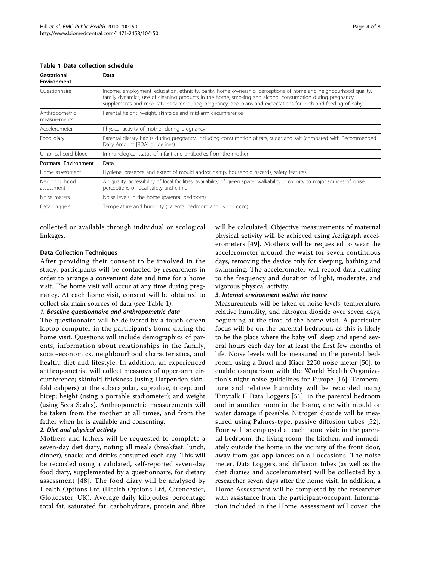| Gestational<br><b>Environment</b> | Data                                                                                                                                                                                                                                                                                                                                         |
|-----------------------------------|----------------------------------------------------------------------------------------------------------------------------------------------------------------------------------------------------------------------------------------------------------------------------------------------------------------------------------------------|
| Ouestionnaire                     | Income, employment, education, ethnicity, parity, home ownership, perceptions of home and neighbourhood quality,<br>family dynamics, use of cleaning products in the home, smoking and alcohol consumption during pregnancy,<br>supplements and medications taken during pregnancy, and plans and expectations for birth and feeding of baby |
| Anthropometric<br>measurements    | Parental height, weight, skinfolds and mid-arm circumference                                                                                                                                                                                                                                                                                 |
| Accelerometer                     | Physical activity of mother during pregnancy                                                                                                                                                                                                                                                                                                 |
| Food diary                        | Parental dietary habits during pregnancy, including consumption of fats, sugar and salt (compared with Recommended<br>Daily Amount [RDA] guidelines)                                                                                                                                                                                         |
| Umbilical cord blood              | Immunological status of infant and antibodies from the mother                                                                                                                                                                                                                                                                                |
| <b>Postnatal Environment</b>      | Data                                                                                                                                                                                                                                                                                                                                         |
| Home assessment                   | Hygiene, presence and extent of mould and/or damp, household hazards, safety features                                                                                                                                                                                                                                                        |
| Neighbourhood<br>assessment       | Air quality, accessibility of local facilities, availability of green space, walkability, proximity to major sources of noise,<br>perceptions of local safety and crime                                                                                                                                                                      |
| Noise meters                      | Noise levels in the home (parental bedroom)                                                                                                                                                                                                                                                                                                  |
| Data Loggers                      | Temperature and humidity (parental bedroom and living room)                                                                                                                                                                                                                                                                                  |

## Table 1 Data collection schedule

collected or available through individual or ecological linkages.

## Data Collection Techniques

After providing their consent to be involved in the study, participants will be contacted by researchers in order to arrange a convenient date and time for a home visit. The home visit will occur at any time during pregnancy. At each home visit, consent will be obtained to collect six main sources of data (see Table 1):

#### 1. Baseline questionnaire and anthropometric data

The questionnaire will be delivered by a touch-screen laptop computer in the participant's home during the home visit. Questions will include demographics of parents, information about relationships in the family, socio-economics, neighbourhood characteristics, and health, diet and lifestyle. In addition, an experienced anthropometrist will collect measures of upper-arm circumference; skinfold thickness (using Harpenden skinfold calipers) at the subscapular, suprailiac, tricep, and bicep; height (using a portable stadiometer); and weight (using Seca Scales). Anthropometric measurements will be taken from the mother at all times, and from the father when he is available and consenting.

# 2. Diet and physical activity

Mothers and fathers will be requested to complete a seven-day diet diary, noting all meals (breakfast, lunch, dinner), snacks and drinks consumed each day. This will be recorded using a validated, self-reported seven-day food diary, supplemented by a questionnaire, for dietary assessment [[48\]](#page-7-0). The food diary will be analysed by Health Options Ltd (Health Options Ltd, Cirencester, Gloucester, UK). Average daily kilojoules, percentage total fat, saturated fat, carbohydrate, protein and fibre will be calculated. Objective measurements of maternal physical activity will be achieved using Actigraph accelerometers [[49](#page-7-0)]. Mothers will be requested to wear the accelerometer around the waist for seven continuous days, removing the device only for sleeping, bathing and swimming. The accelerometer will record data relating to the frequency and duration of light, moderate, and vigorous physical activity.

#### 3. Internal environment within the home

Measurements will be taken of noise levels, temperature, relative humidity, and nitrogen dioxide over seven days, beginning at the time of the home visit. A particular focus will be on the parental bedroom, as this is likely to be the place where the baby will sleep and spend several hours each day for at least the first few months of life. Noise levels will be measured in the parental bedroom, using a Bruel and Kjaer 2250 noise meter [[50\]](#page-7-0), to enable comparison with the World Health Organization's night noise guidelines for Europe [\[16\]](#page-6-0). Temperature and relative humidity will be recorded using Tinytalk II Data Loggers [[51\]](#page-7-0), in the parental bedroom and in another room in the home, one with mould or water damage if possible. Nitrogen dioxide will be measured using Palmes-type, passive diffusion tubes [[52\]](#page-7-0). Four will be employed at each home visit: in the parental bedroom, the living room, the kitchen, and immediately outside the home in the vicinity of the front door, away from gas appliances on all occasions. The noise meter, Data Loggers, and diffusion tubes (as well as the diet diaries and accelerometer) will be collected by a researcher seven days after the home visit. In addition, a Home Assessment will be completed by the researcher with assistance from the participant/occupant. Information included in the Home Assessment will cover: the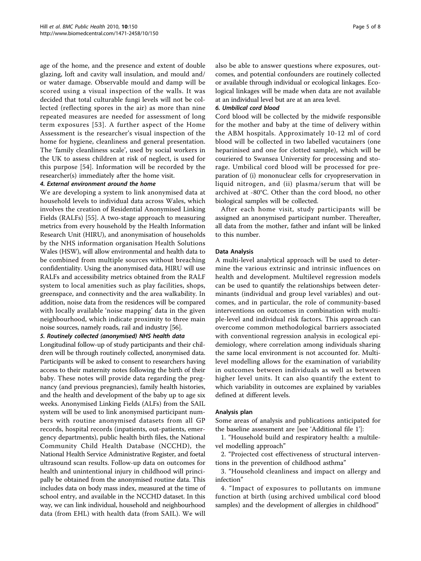age of the home, and the presence and extent of double glazing, loft and cavity wall insulation, and mould and/ or water damage. Observable mould and damp will be scored using a visual inspection of the walls. It was decided that total culturable fungi levels will not be collected (reflecting spores in the air) as more than nine repeated measures are needed for assessment of long term exposures [[53\]](#page-7-0). A further aspect of the Home Assessment is the researcher's visual inspection of the home for hygiene, cleanliness and general presentation. The 'family cleanliness scale', used by social workers in the UK to assess children at risk of neglect, is used for this purpose [[54\]](#page-7-0). Information will be recorded by the researcher(s) immediately after the home visit.

# 4. External environment around the home

We are developing a system to link anonymised data at household levels to individual data across Wales, which involves the creation of Residential Anonymised Linking Fields (RALFs) [[55\]](#page-7-0). A two-stage approach to measuring metrics from every household by the Health Information Research Unit (HIRU), and anonymisation of households by the NHS information organisation Health Solutions Wales (HSW), will allow environmental and health data to be combined from multiple sources without breaching confidentiality. Using the anonymised data, HIRU will use RALFs and accessibility metrics obtained from the RALF system to local amenities such as play facilities, shops, greenspace, and connectivity and the area walkability. In addition, noise data from the residences will be compared with locally available 'noise mapping' data in the given neighbourhood, which indicate proximity to three main noise sources, namely roads, rail and industry [\[56](#page-7-0)].

# 5. Routinely collected (anonymised) NHS health data

Longitudinal follow-up of study participants and their children will be through routinely collected, anonymised data. Participants will be asked to consent to researchers having access to their maternity notes following the birth of their baby. These notes will provide data regarding the pregnancy (and previous pregnancies), family health histories, and the health and development of the baby up to age six weeks. Anonymised Linking Fields (ALFs) from the SAIL system will be used to link anonymised participant numbers with routine anonymised datasets from all GP records, hospital records (inpatients, out-patients, emergency departments), public health birth files, the National Community Child Health Database (NCCHD), the National Health Service Administrative Register, and foetal ultrasound scan results. Follow-up data on outcomes for health and unintentional injury in childhood will principally be obtained from the anonymised routine data. This includes data on body mass index, measured at the time of school entry, and available in the NCCHD dataset. In this way, we can link individual, household and neighbourhood data (from EHL) with health data (from SAIL). We will also be able to answer questions where exposures, outcomes, and potential confounders are routinely collected or available through individual or ecological linkages. Ecological linkages will be made when data are not available at an individual level but are at an area level.

#### 6. Umbilical cord blood

Cord blood will be collected by the midwife responsible for the mother and baby at the time of delivery within the ABM hospitals. Approximately 10-12 ml of cord blood will be collected in two labelled vacutainers (one heparinised and one for clotted sample), which will be couriered to Swansea University for processing and storage. Umbilical cord blood will be processed for preparation of (i) mononuclear cells for cryopreservation in liquid nitrogen, and (ii) plasma/serum that will be archived at -80°C. Other than the cord blood, no other biological samples will be collected.

After each home visit, study participants will be assigned an anonymised participant number. Thereafter, all data from the mother, father and infant will be linked to this number.

#### Data Analysis

A multi-level analytical approach will be used to determine the various extrinsic and intrinsic influences on health and development. Multilevel regression models can be used to quantify the relationships between determinants (individual and group level variables) and outcomes, and in particular, the role of community-based interventions on outcomes in combination with multiple-level and individual risk factors. This approach can overcome common methodological barriers associated with conventional regression analysis in ecological epidemiology, where correlation among individuals sharing the same local environment is not accounted for. Multilevel modelling allows for the examination of variability in outcomes between individuals as well as between higher level units. It can also quantify the extent to which variability in outcomes are explained by variables defined at different levels.

#### Analysis plan

Some areas of analysis and publications anticipated for the baseline assessment are [see 'Additional file [1](#page-5-0)']:

1. "Household build and respiratory health: a multilevel modelling approach"

2. "Projected cost effectiveness of structural interventions in the prevention of childhood asthma"

3. "Household cleanliness and impact on allergy and infection"

4. "Impact of exposures to pollutants on immune function at birth (using archived umbilical cord blood samples) and the development of allergies in childhood"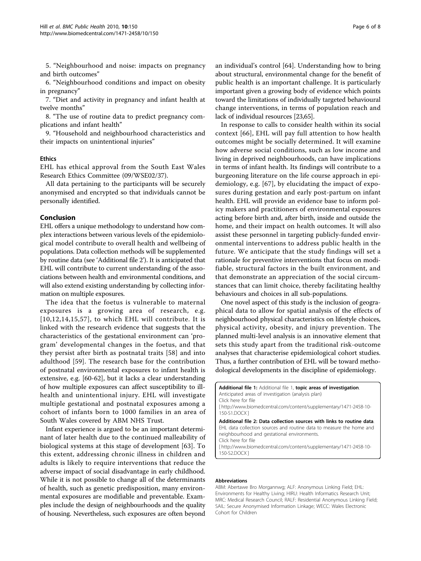<span id="page-5-0"></span>5. "Neighbourhood and noise: impacts on pregnancy and birth outcomes"

6. "Neighbourhood conditions and impact on obesity in pregnancy"

7. "Diet and activity in pregnancy and infant health at twelve months"

8. "The use of routine data to predict pregnancy complications and infant health"

9. "Household and neighbourhood characteristics and their impacts on unintentional injuries"

# Ethics

EHL has ethical approval from the South East Wales Research Ethics Committee (09/WSE02/37).

All data pertaining to the participants will be securely anonymised and encrypted so that individuals cannot be personally identified.

## Conclusion

EHL offers a unique methodology to understand how complex interactions between various levels of the epidemiological model contribute to overall health and wellbeing of populations. Data collection methods will be supplemented by routine data (see 'Additional file 2'). It is anticipated that EHL will contribute to current understanding of the associations between health and environmental conditions, and will also extend existing understanding by collecting information on multiple exposures.

The idea that the foetus is vulnerable to maternal exposures is a growing area of research, e.g.  $[10,12,14,15,57]$  $[10,12,14,15,57]$  $[10,12,14,15,57]$  $[10,12,14,15,57]$  $[10,12,14,15,57]$  $[10,12,14,15,57]$  $[10,12,14,15,57]$ , to which EHL will contribute. It is linked with the research evidence that suggests that the characteristics of the gestational environment can 'program' developmental changes in the foetus, and that they persist after birth as postnatal traits [[58](#page-7-0)] and into adulthood [[59](#page-7-0)]. The research base for the contribution of postnatal environmental exposures to infant health is extensive, e.g. [[60-62\]](#page-7-0), but it lacks a clear understanding of how multiple exposures can affect susceptibility to illhealth and unintentional injury. EHL will investigate multiple gestational and postnatal exposures among a cohort of infants born to 1000 families in an area of South Wales covered by ABM NHS Trust.

Infant experience is argued to be an important determinant of later health due to the continued malleability of biological systems at this stage of development [[63](#page-7-0)]. To this extent, addressing chronic illness in children and adults is likely to require interventions that reduce the adverse impact of social disadvantage in early childhood. While it is not possible to change all of the determinants of health, such as genetic predisposition, many environmental exposures are modifiable and preventable. Examples include the design of neighbourhoods and the quality of housing. Nevertheless, such exposures are often beyond an individual's control [[64\]](#page-7-0). Understanding how to bring about structural, environmental change for the benefit of public health is an important challenge. It is particularly important given a growing body of evidence which points toward the limitations of individually targeted behavioural change interventions, in terms of population reach and lack of individual resources [[23](#page-6-0)[,65\]](#page-7-0).

In response to calls to consider health within its social context [[66](#page-7-0)], EHL will pay full attention to how health outcomes might be socially determined. It will examine how adverse social conditions, such as low income and living in deprived neighbourhoods, can have implications in terms of infant health. Its findings will contribute to a burgeoning literature on the life course approach in epidemiology, e.g. [[67](#page-7-0)], by elucidating the impact of exposures during gestation and early post-partum on infant health. EHL will provide an evidence base to inform policy makers and practitioners of environmental exposures acting before birth and, after birth, inside and outside the home, and their impact on health outcomes. It will also assist these personnel in targeting publicly-funded environmental interventions to address public health in the future. We anticipate that the study findings will set a rationale for preventive interventions that focus on modifiable, structural factors in the built environment, and that demonstrate an appreciation of the social circumstances that can limit choice, thereby facilitating healthy behaviours and choices in all sub-populations.

One novel aspect of this study is the inclusion of geographical data to allow for spatial analysis of the effects of neighbourhood physical characteristics on lifestyle choices, physical activity, obesity, and injury prevention. The planned multi-level analysis is an innovative element that sets this study apart from the traditional risk-outcome analyses that characterise epidemiological cohort studies. Thus, a further contribution of EHL will be toward methodological developments in the discipline of epidemiology.

Additional file 1: Additional file 1, topic areas of investigation. Anticipated areas of investigation (analysis plan)

Click here for file

[ http://www.biomedcentral.com/content/supplementary/1471-2458-10- 150-S1.DOCX ]

Additional file 2: Data collection sources with links to routine data. EHL data collection sources and routine data to measure the home and neighbourhood and gestational environments. Click here for file

[ http://www.biomedcentral.com/content/supplementary/1471-2458-10- 150-S2.DOCX ]

#### Abbreviations

ABM: Abertawe Bro Morgannwg; ALF: Anonymous Linking Field; EHL: Environments for Healthy Living; HIRU: Health Informatics Research Unit; MRC: Medical Research Council; RALF: Residential Anonymous Linking Field; SAIL: Secure Anonymised Information Linkage; WECC: Wales Electronic Cohort for Children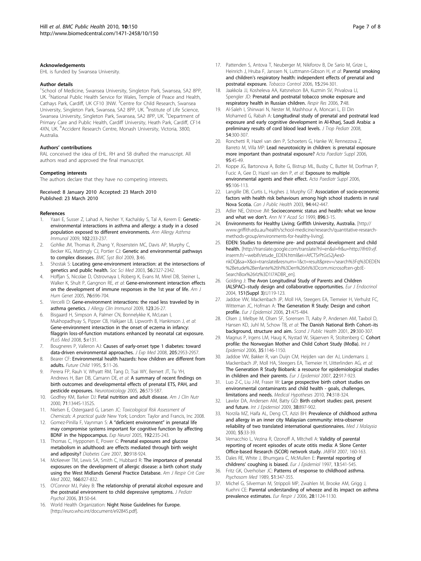#### <span id="page-6-0"></span>Acknowledgements

EHL is funded by Swansea University.

#### Author details

<sup>1</sup>School of Medicine, Swansea University, Singleton Park, Swansea, SA2 8PP, UK. <sup>2</sup>National Public Health Service for Wales, Temple of Peace and Health, Cathays Park, Cardiff, UK CF10 3NW. <sup>3</sup>Centre for Child Research, Swansea University, Singleton Park, Swansea, SA2 8PP, UK. <sup>4</sup>Institute of Life Science, Swansea University, Singleton Park, Swansea, SA2 8PP, UK. <sup>5</sup>Department of Primary Care and Public Health, Cardiff University, Heath Park, Cardiff, CF14 4XN, UK. <sup>6</sup>Accident Research Centre, Monash University, Victoria, 3800, Australia.

#### Authors' contributions

RAL conceived the idea of EHL. RH and SB drafted the manuscript. All authors read and approved the final manuscript.

#### Competing interests

The authors declare that they have no competing interests.

#### Received: 8 January 2010 Accepted: 23 March 2010 Published: 23 March 2010

#### References

- Yaari E, Susser Z, Lahad A, Nesher Y, Kachalsky S, Tal A, Kerem E: [Genetic](http://www.ncbi.nlm.nih.gov/pubmed/19354070?dopt=Abstract)[environmental interactions in asthma and allergy: a study in a closed](http://www.ncbi.nlm.nih.gov/pubmed/19354070?dopt=Abstract) [population exposed to different environments.](http://www.ncbi.nlm.nih.gov/pubmed/19354070?dopt=Abstract) Ann Allergy Asthma Immunol 2009, 102:233-237.
- 2. Gohlke JM, Thomas R, Zhang Y, Rosenstein MC, Davis AP, Murphy C, Becker KG, Mattingly CJ, Portier CJ: [Genetic and environmental pathways](http://www.ncbi.nlm.nih.gov/pubmed/19416532?dopt=Abstract) [to complex diseases.](http://www.ncbi.nlm.nih.gov/pubmed/19416532?dopt=Abstract) BMC Syst Biol 2009, 3:46.
- 3. Shostak S: [Locating gene-environment interaction: at the intersections of](http://www.ncbi.nlm.nih.gov/pubmed/12719185?dopt=Abstract) [genetics and public health.](http://www.ncbi.nlm.nih.gov/pubmed/12719185?dopt=Abstract) Soc Sci Med 2003, 56:2327-2342.
- 4. Hoffjan S, Nicolae D, Ostrovnaya I, Roberg K, Evans M, Mirel DB, Steiner L, Walker K, Shult P, Gangnon RE, et al: [Gene-environment interaction effects](http://www.ncbi.nlm.nih.gov/pubmed/15726497?dopt=Abstract) [on the development of immune responses in the 1st year of life.](http://www.ncbi.nlm.nih.gov/pubmed/15726497?dopt=Abstract) Am J Hum Genet 2005, 76:696-704.
- Vercelli D: [Gene-environment interactions: the road less traveled by in](http://www.ncbi.nlm.nih.gov/pubmed/19130923?dopt=Abstract) [asthma genetics.](http://www.ncbi.nlm.nih.gov/pubmed/19130923?dopt=Abstract) J Allergy Clin Immunol 2009, 123:26-27.
- 6. Bisgaard H, Simpson A, Palmer CN, Bonnelykke K, McLean I, Mukhopadhyay S, Pipper CB, Halkjaer LB, Lipworth B, Hankinson J, et al: [Gene-environment interaction in the onset of eczema in infancy:](http://www.ncbi.nlm.nih.gov/pubmed/18578563?dopt=Abstract) [filaggrin loss-of-function mutations enhanced by neonatal cat exposure.](http://www.ncbi.nlm.nih.gov/pubmed/18578563?dopt=Abstract) PLoS Med 2008, 5:e131.
- 7. Bougneres P, Valleron AJ: [Causes of early-onset type 1 diabetes: toward](http://www.ncbi.nlm.nih.gov/pubmed/19075294?dopt=Abstract) [data-driven environmental approaches.](http://www.ncbi.nlm.nih.gov/pubmed/19075294?dopt=Abstract) J Exp Med 2008, 205:2953-2957.
- 8. Bearer CF: [Environmental health hazards: how children are different from](http://www.ncbi.nlm.nih.gov/pubmed/8528683?dopt=Abstract) [adults.](http://www.ncbi.nlm.nih.gov/pubmed/8528683?dopt=Abstract) Future Child 1995, 5:11-26.
- 9. Perera FP, Rauh V, Whyatt RM, Tang D, Tsai WY, Bernert JT, Tu YH, Andrews H, Barr DB, Camann DE, et al: [A summary of recent findings on](http://www.ncbi.nlm.nih.gov/pubmed/16112323?dopt=Abstract) [birth outcomes and developmental effects of prenatal ETS, PAH, and](http://www.ncbi.nlm.nih.gov/pubmed/16112323?dopt=Abstract) [pesticide exposures.](http://www.ncbi.nlm.nih.gov/pubmed/16112323?dopt=Abstract) Neurotoxicology 2005, 26:573-587.
- 10. Godfrey KM, Barker DJ: [Fetal nutrition and adult disease.](http://www.ncbi.nlm.nih.gov/pubmed/10799412?dopt=Abstract) Am J Clin Nutr 2000, 71:1344S-1352S.
- 11. Nielsen E, Ostergaard G, Larsen JC: Toxicological Risk Assessment of Chemicals: A practical guide New York; London: Taylor and Francis, Inc 2008.
- 12. Gomez-Pinilla F, Vaynman S: A "[deficient environment](http://www.ncbi.nlm.nih.gov/pubmed/15755541?dopt=Abstract)" in prenatal life [may compromise systems important for cognitive function by affecting](http://www.ncbi.nlm.nih.gov/pubmed/15755541?dopt=Abstract) [BDNF in the hippocampus.](http://www.ncbi.nlm.nih.gov/pubmed/15755541?dopt=Abstract) Exp Neurol 2005, 192:235-243.
- 13. Thomas C, Hypponen E, Power C: [Prenatal exposures and glucose](http://www.ncbi.nlm.nih.gov/pubmed/17277041?dopt=Abstract) [metabolism in adulthood: are effects mediated through birth weight](http://www.ncbi.nlm.nih.gov/pubmed/17277041?dopt=Abstract) [and adiposity?](http://www.ncbi.nlm.nih.gov/pubmed/17277041?dopt=Abstract) Diabetes Care 2007, 30:918-924.
- 14. McKeever TM, Lewis SA, Smith C, Hubbard R: [The importance of prenatal](http://www.ncbi.nlm.nih.gov/pubmed/12231492?dopt=Abstract) [exposures on the development of allergic disease: a birth cohort study](http://www.ncbi.nlm.nih.gov/pubmed/12231492?dopt=Abstract) [using the West Midlands General Practice Database.](http://www.ncbi.nlm.nih.gov/pubmed/12231492?dopt=Abstract) Am J Respir Crit Care Med 2002, 166:827-832.
- 15. O'Connor MJ, Paley B: [The relationship of prenatal alcohol exposure and](http://www.ncbi.nlm.nih.gov/pubmed/15802607?dopt=Abstract) [the postnatal environment to child depressive symptoms.](http://www.ncbi.nlm.nih.gov/pubmed/15802607?dopt=Abstract) J Pediatr Psychol 2006, 31:50-64.
- 16. World Health Organization: Night Noise Guidelines for Europe. [\[http://euro.who.int/document/e92845.pdf](http://euro.who.int/document/e92845.pdf)].
- 17. Pattenden S, Antova T, Neuberger M, Nikiforov B, De Sario M, Grize L, Heinrich J, Hruba F, Janssen N, Luttmann-Gibson H, et al: [Parental smoking](http://www.ncbi.nlm.nih.gov/pubmed/16885578?dopt=Abstract) and children'[s respiratory health: independent effects of prenatal and](http://www.ncbi.nlm.nih.gov/pubmed/16885578?dopt=Abstract) [postnatal exposure.](http://www.ncbi.nlm.nih.gov/pubmed/16885578?dopt=Abstract) Tobacco Control 2006, 15:294-301.
- 18. Jaakkola JJ, Kosheleva AA, Katsnelson BA, Kuzmin SV, Privalova LI, Spengler JD: [Prenatal and postnatal tobacco smoke exposure and](http://www.ncbi.nlm.nih.gov/pubmed/16569224?dopt=Abstract) [respiratory health in Russian children.](http://www.ncbi.nlm.nih.gov/pubmed/16569224?dopt=Abstract) Respir Res 2006, 7:48.
- 19. Al-Saleh I, Shinwari N, Nester M, Mashhour A, Moncari L, El Din Mohamed G, Rabah A: [Longitudinal study of prenatal and postnatal lead](http://www.ncbi.nlm.nih.gov/pubmed/18353786?dopt=Abstract) [exposure and early cognitive development in Al-Kharj, Saudi Arabia: a](http://www.ncbi.nlm.nih.gov/pubmed/18353786?dopt=Abstract) [preliminary results of cord blood lead levels.](http://www.ncbi.nlm.nih.gov/pubmed/18353786?dopt=Abstract) J Trop Pediatr 2008, 54:300-307.
- 20. Ronchetti R, Hazel van den P, Schoeters G, Hanke W, Rennezova Z, Barreto M, Villa MP: [Lead neurotoxicity in children: is prenatal exposure](http://www.ncbi.nlm.nih.gov/pubmed/17000569?dopt=Abstract) [more important than postnatal exposure?](http://www.ncbi.nlm.nih.gov/pubmed/17000569?dopt=Abstract) Acta Paediatr Suppl 2006, 95:45-49.
- 21. Koppe JG, Bartonova A, Bolte G, Bistrup ML, Busby C, Butter M, Dorfman P, Fucic A, Gee D, Hazel van den P, et al: [Exposure to multiple](http://www.ncbi.nlm.nih.gov/pubmed/17000577?dopt=Abstract) [environmental agents and their effect.](http://www.ncbi.nlm.nih.gov/pubmed/17000577?dopt=Abstract) Acta Paediatr Suppl 2006, 95:106-113.
- 22. Langille DB, Curtis L, Hughes J, Murphy GT: [Association of socio-economic](http://www.ncbi.nlm.nih.gov/pubmed/14700244?dopt=Abstract) [factors with health risk behaviours among high school students in rural](http://www.ncbi.nlm.nih.gov/pubmed/14700244?dopt=Abstract) [Nova Scotia.](http://www.ncbi.nlm.nih.gov/pubmed/14700244?dopt=Abstract) Can J Public Health 2003, 94:442-447.
- 23. Adler NE, Ostrove JM: [Socioeconomic status and health: what we know](http://www.ncbi.nlm.nih.gov/pubmed/10681884?dopt=Abstract) [and what we don](http://www.ncbi.nlm.nih.gov/pubmed/10681884?dopt=Abstract)'t. Ann N Y Acad Sci 1999, 896:3-15.
- 24. Environments for Healthy Living; Griffith University, Australia. [\[http://](http://www.griffith.edu.au/health/school-medicine/research/quantitative-research-methods-group/environments-for-healthy-living) [www.griffith.edu.au/health/school-medicine/research/quantitative-research](http://www.griffith.edu.au/health/school-medicine/research/quantitative-research-methods-group/environments-for-healthy-living)[methods-group/environments-for-healthy-living\]](http://www.griffith.edu.au/health/school-medicine/research/quantitative-research-methods-group/environments-for-healthy-living).
- 25. EDEN: Studies to determine pre- and postnatal development and child health. [[http://translate.google.com/translate?hl=en&sl=fr&u=http://ifr69.vjf.](http://translate.google.com/translate?hl=en&sl=fr&u=http://ifr69.vjf.inserm.fr/~webifr/etude_EDEN.html&ei=AfCTSrPtGsS2jAes0-nkDQ&sa=X&oi=translate&resnum=1&ct=result&prev=/search%3Fq%3DEDEN%2Betude%2Benfante%26hl%3Den%26rls%3Dcom.microsoft:en-gb:IE-SearchBox%26rlz%3D1I7ADBR_en) [inserm.fr/~webifr/etude\\_EDEN.html&ei=AfCTSrPtGsS2jAes0](http://translate.google.com/translate?hl=en&sl=fr&u=http://ifr69.vjf.inserm.fr/~webifr/etude_EDEN.html&ei=AfCTSrPtGsS2jAes0-nkDQ&sa=X&oi=translate&resnum=1&ct=result&prev=/search%3Fq%3DEDEN%2Betude%2Benfante%26hl%3Den%26rls%3Dcom.microsoft:en-gb:IE-SearchBox%26rlz%3D1I7ADBR_en) [nkDQ&sa=X&oi=translate&resnum=1&ct=result&prev=/search%3Fq%3DEDEN](http://translate.google.com/translate?hl=en&sl=fr&u=http://ifr69.vjf.inserm.fr/~webifr/etude_EDEN.html&ei=AfCTSrPtGsS2jAes0-nkDQ&sa=X&oi=translate&resnum=1&ct=result&prev=/search%3Fq%3DEDEN%2Betude%2Benfante%26hl%3Den%26rls%3Dcom.microsoft:en-gb:IE-SearchBox%26rlz%3D1I7ADBR_en) [%2Betude%2Benfante%26hl%3Den%26rls%3Dcom.microsoft:en-gb:IE-](http://translate.google.com/translate?hl=en&sl=fr&u=http://ifr69.vjf.inserm.fr/~webifr/etude_EDEN.html&ei=AfCTSrPtGsS2jAes0-nkDQ&sa=X&oi=translate&resnum=1&ct=result&prev=/search%3Fq%3DEDEN%2Betude%2Benfante%26hl%3Den%26rls%3Dcom.microsoft:en-gb:IE-SearchBox%26rlz%3D1I7ADBR_en)[SearchBox%26rlz%3D1I7ADBR\\_en](http://translate.google.com/translate?hl=en&sl=fr&u=http://ifr69.vjf.inserm.fr/~webifr/etude_EDEN.html&ei=AfCTSrPtGsS2jAes0-nkDQ&sa=X&oi=translate&resnum=1&ct=result&prev=/search%3Fq%3DEDEN%2Betude%2Benfante%26hl%3Den%26rls%3Dcom.microsoft:en-gb:IE-SearchBox%26rlz%3D1I7ADBR_en)].
- 26. Golding J: [The Avon Longitudinal Study of Parents and Children](http://www.ncbi.nlm.nih.gov/pubmed/15554896?dopt=Abstract) (ALSPAC)–[study design and collaborative opportunities.](http://www.ncbi.nlm.nih.gov/pubmed/15554896?dopt=Abstract) Eur J Endocrinol 2004, 151(Suppl 3):U119-123.
- 27. Jaddoe VW, Mackenbach JP, Moll HA, Steegers EA, Tiemeier H, Verhulst FC, Witteman JC, Hofman A: [The Generation R Study: Design and cohort](http://www.ncbi.nlm.nih.gov/pubmed/16826450?dopt=Abstract) [profile.](http://www.ncbi.nlm.nih.gov/pubmed/16826450?dopt=Abstract) Eur J Epidemiol 2006, 21:475-484.
- 28. Olsen J, Melbye M, Olsen SF, Sorensen TI, Aaby P, Andersen AM, Taxbol D, Hansen KD, Juhl M, Schow TB, et al: [The Danish National Birth Cohort](http://www.ncbi.nlm.nih.gov/pubmed/11775787?dopt=Abstract)-its [background, structure and aim.](http://www.ncbi.nlm.nih.gov/pubmed/11775787?dopt=Abstract) Scand J Public Health 2001, 29:300-307.
- 29. Magnus P, Irgens LM, Haug K, Nystad W, Skjaerven R, Stoltenberg C: [Cohort](http://www.ncbi.nlm.nih.gov/pubmed/16926217?dopt=Abstract) [profile: the Norwegian Mother and Child Cohort Study \(MoBa\).](http://www.ncbi.nlm.nih.gov/pubmed/16926217?dopt=Abstract) Int J Epidemiol 2006, 35:1146-1150.
- 30. Jaddoe VW, Bakker R, van Duijn CM, Heijden van der AJ, Lindemans J, Mackenbach JP, Moll HA, Steegers EA, Tiemeier H, Uitterlinden AG, et al: [The Generation R Study Biobank: a resource for epidemiological studies](http://www.ncbi.nlm.nih.gov/pubmed/18095172?dopt=Abstract) [in children and their parents.](http://www.ncbi.nlm.nih.gov/pubmed/18095172?dopt=Abstract) Eur J Epidemiol 2007, 22:917-923.
- 31. Luo Z-C, Liu J-M, Fraser W: [Large prospective birth cohort studies on](http://www.ncbi.nlm.nih.gov/pubmed/19765909?dopt=Abstract) [environmental contaminants and child health - goals, challenges,](http://www.ncbi.nlm.nih.gov/pubmed/19765909?dopt=Abstract) [limitations and needs.](http://www.ncbi.nlm.nih.gov/pubmed/19765909?dopt=Abstract) Medical Hypotheses 2010, 74:318-324.
- 32. Lawlor DA, Andersen AM, Batty GD: [Birth cohort studies: past, present](http://www.ncbi.nlm.nih.gov/pubmed/19561329?dopt=Abstract) [and future.](http://www.ncbi.nlm.nih.gov/pubmed/19561329?dopt=Abstract) Int J Epidemiol 2009, 38:897-902.
- 33. Norzila MZ, Haifa AL, Deng CT, Azizi BH: [Prevalence of childhood asthma](http://www.ncbi.nlm.nih.gov/pubmed/11072488?dopt=Abstract) [and allergy in an inner city Malaysian community: intra-observer](http://www.ncbi.nlm.nih.gov/pubmed/11072488?dopt=Abstract) [reliability of two translated international questionnaires.](http://www.ncbi.nlm.nih.gov/pubmed/11072488?dopt=Abstract) Med J Malaysia 2000, 55:33-39.
- 34. Vernacchio L, Vezina R, Ozonoff A, MItchell A: [Validity of parental](http://www.ncbi.nlm.nih.gov/pubmed/17341752?dopt=Abstract) [reporting of recent episodes of acute otitis media: A Slone Center](http://www.ncbi.nlm.nih.gov/pubmed/17341752?dopt=Abstract) [Office-based Research \(SCOR\) network study.](http://www.ncbi.nlm.nih.gov/pubmed/17341752?dopt=Abstract) JABFM 2007, 160-163.
- 35. Dales RE, White J, Bhumgara C, McMullen E: [Parental reporting of](http://www.ncbi.nlm.nih.gov/pubmed/9258566?dopt=Abstract) childrens' [coughing is biased.](http://www.ncbi.nlm.nih.gov/pubmed/9258566?dopt=Abstract) Eur J Epidemiol 1997, 13:541-545.
- 36. Fritz GK, Overholser JC: [Patterns of response to childhood asthma.](http://www.ncbi.nlm.nih.gov/pubmed/2734427?dopt=Abstract) Psychosom Med 1989, 51:347-355.
- 37. Michel G, Silverman M, Strippoli MP, Zwahlen M, Brooke AM, Grigg J, Kuehni CE: [Parental understanding of wheeze and its impact on asthma](http://www.ncbi.nlm.nih.gov/pubmed/16870670?dopt=Abstract) [prevalence estimates.](http://www.ncbi.nlm.nih.gov/pubmed/16870670?dopt=Abstract) Eur Respir J 2006, 28:1124-1130.